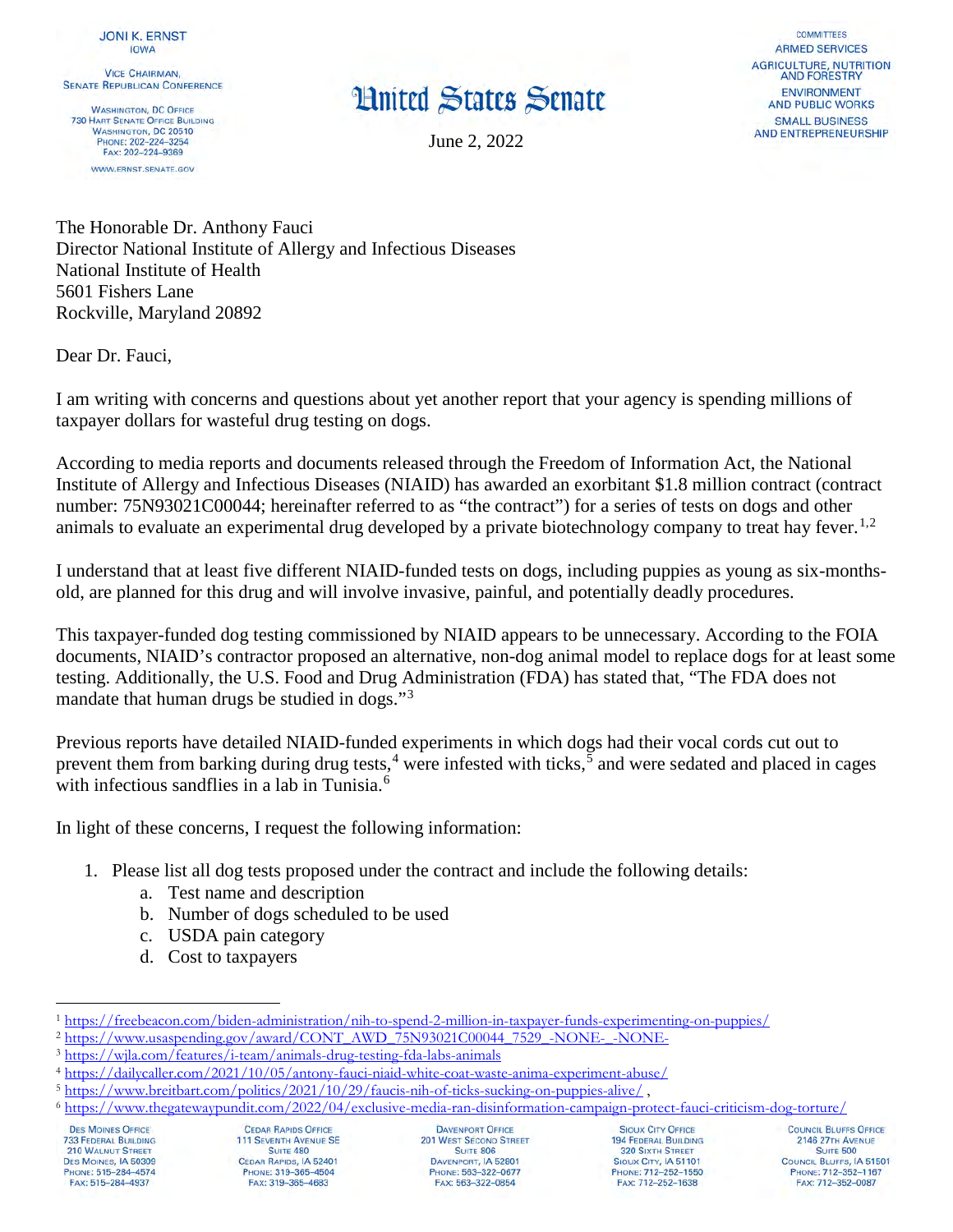**VICE CHAIRMAN. SENATE REPUBLICAN CONFERENCE** 

**WASHINGTON, DC OFFICE 730 HART SENATE OFFICE BUILDING** WASHINGTON, DC 20510 PHONE: 202-224-3254 FAX: 202-224-9369 WWW.ERNST.SENATE.GOV

## **Hnited States Senate**

June 2, 2022

**COMMITTEES ARMED SERVICES AGRICULTURE, NUTRITION AND FORESTRY** ENVIRONMENT **AND PUBLIC WORKS SMALL BUSINESS AND ENTREPRENEURSHIP** 

The Honorable Dr. Anthony Fauci Director National Institute of Allergy and Infectious Diseases National Institute of Health 5601 Fishers Lane Rockville, Maryland 20892

Dear Dr. Fauci,

I am writing with concerns and questions about yet another report that your agency is spending millions of taxpayer dollars for wasteful drug testing on dogs.

According to media reports and documents released through the Freedom of Information Act, the National Institute of Allergy and Infectious Diseases (NIAID) has awarded an exorbitant \$1.8 million contract (contract number: 75N93021C00044; hereinafter referred to as "the contract") for a series of tests on dogs and other animals to evaluate an experimental drug developed by a private biotechnology company to treat hay fever.<sup>[1](#page-0-0),[2](#page-0-1)</sup>

I understand that at least five different NIAID-funded tests on dogs, including puppies as young as six-monthsold, are planned for this drug and will involve invasive, painful, and potentially deadly procedures.

This taxpayer-funded dog testing commissioned by NIAID appears to be unnecessary. According to the FOIA documents, NIAID's contractor proposed an alternative, non-dog animal model to replace dogs for at least some testing. Additionally, the U.S. Food and Drug Administration (FDA) has stated that, "The FDA does not mandate that human drugs be studied in dogs."<sup>[3](#page-0-2)</sup>

Previous reports have detailed NIAID-funded experiments in which dogs had their vocal cords cut out to prevent them from barking during drug tests,<sup>[4](#page-0-3)</sup> were infested with ticks,  $\frac{5}{5}$  $\frac{5}{5}$  $\frac{5}{5}$  and were sedated and placed in cages with infectious sandflies in a lab in Tunisia.<sup>[6](#page-0-5)</sup>

In light of these concerns, I request the following information:

- 1. Please list all dog tests proposed under the contract and include the following details:
	- a. Test name and description
	- b. Number of dogs scheduled to be used
	- c. USDA pain category
	- d. Cost to taxpayers

**DES MOINES OFFICE 733 FEDERAL BUILDING 210 WALNUT STREET** DES MOINES, IA 50309<br>PHONE: 515-284-4574 FAX: 515-284-4937

**DAVENPORT OFFICE 201 WEST SECOND STREET SUITE 806 DAVENPORT, IA 52801**<br>PHONE: 563-322-0677 FAX: 563-322-0854

**SIOUX CITY OFFICE 194 FEDERAL BUILDING 320 SIXTH STREET** SIOUX CITY, IA 51101<br>PHONE: 712-252-1550 FAX: 712-252-1638

COUNCIL BLUFFS OFFICE 2146 27TH AVENUE SUITE 500 **COUNCIL BLUFFS, IA 51501**<br>PHONE: 712-352-1167 FAX: 712-352-0087

<span id="page-0-0"></span><sup>&</sup>lt;sup>1</sup>https://freebeacon.com/biden-administration/nih-to-spend-2-million-in-taxpayer-funds-experimenting-on-puppies/

<span id="page-0-2"></span>

<span id="page-0-3"></span>

<span id="page-0-5"></span><span id="page-0-4"></span>

<span id="page-0-1"></span> $\frac{\frac{2 \text{ https://www.usaspending.gov/ award/CONT AWD 75 N93021C00044 7529 - NONE--NONE-}}{\frac{3 \text{ https://wyla.com/features/i-team/animals-drug-testing-fda-labs-animals}}{\frac{4 \text{ https://dailycallycaller.com/2021/10/05/antony-fauci-niaid-white-coat-waste-anima-experiment-abuse/}}{\frac{5 \text{ https://dailycallycaller.com/2021/10/05/antony-fauci-niaid-white-coat-waste-anima-experiment-abuse/}}{\frac{5 \text{ https://www.breitbart.com/politics/2021/10/29/faucis-nih-of-ticks-sucking$